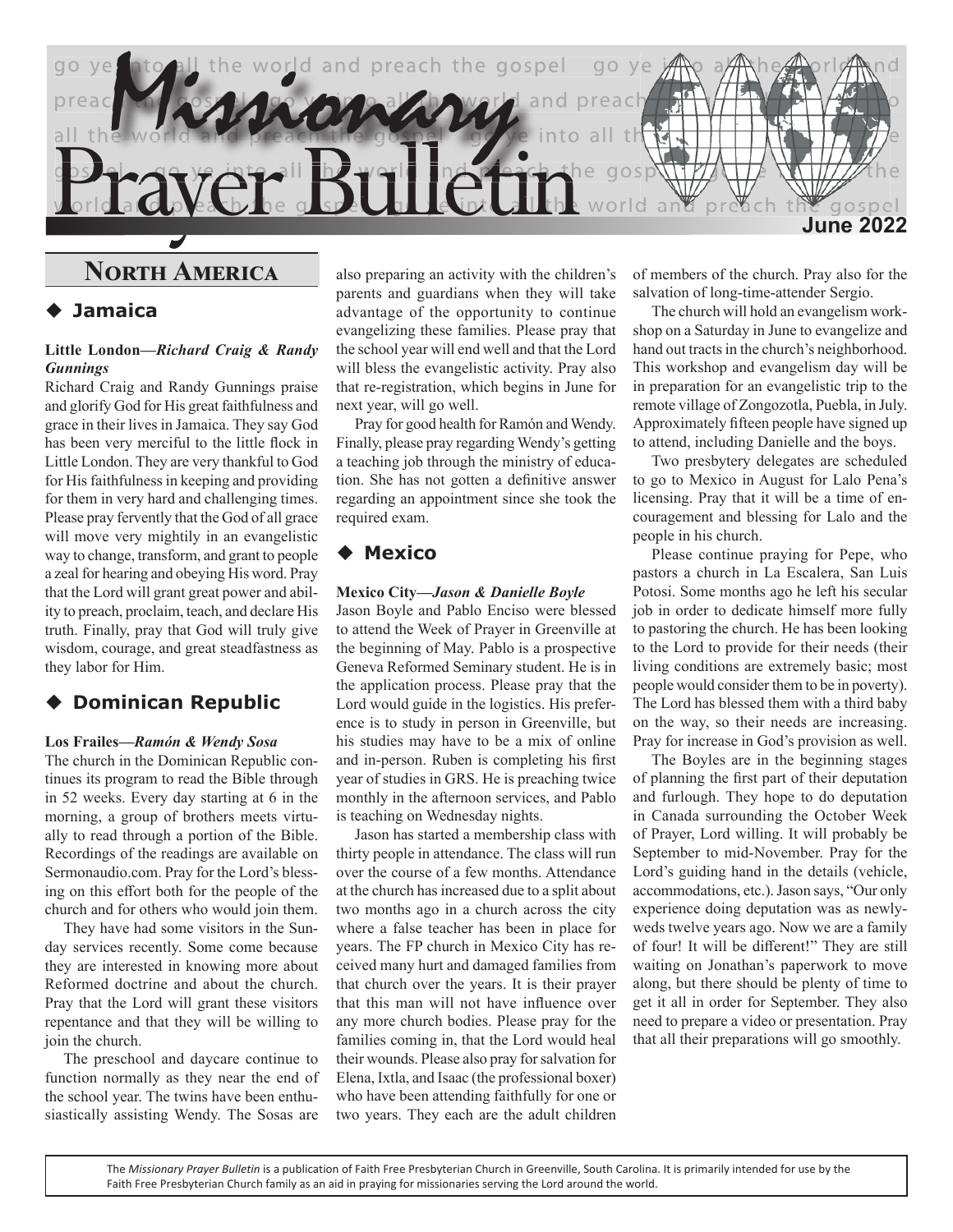

**NORTH AMERICA** 

## **Jamaica**

#### **Little London—***Richard Craig & Randy Gunnings*

Richard Craig and Randy Gunnings praise and glorify God for His great faithfulness and grace in their lives in Jamaica. They say God has been very merciful to the little flock in Little London. They are very thankful to God for His faithfulness in keeping and providing for them in very hard and challenging times. Please pray fervently that the God of all grace will move very mightily in an evangelistic way to change, transform, and grant to people a zeal for hearing and obeying His word. Pray that the Lord will grant great power and ability to preach, proclaim, teach, and declare His truth. Finally, pray that God will truly give wisdom, courage, and great steadfastness as they labor for Him.

## **Dominican Republic**

#### **Los Frailes—***Ramón & Wendy Sosa*

The church in the Dominican Republic continues its program to read the Bible through in 52 weeks. Every day starting at 6 in the morning, a group of brothers meets virtually to read through a portion of the Bible. Recordings of the readings are available on Sermonaudio.com. Pray for the Lord's blessing on this effort both for the people of the church and for others who would join them.

They have had some visitors in the Sunday services recently. Some come because they are interested in knowing more about Reformed doctrine and about the church. Pray that the Lord will grant these visitors repentance and that they will be willing to join the church.

The preschool and daycare continue to function normally as they near the end of the school year. The twins have been enthusiastically assisting Wendy. The Sosas are

also preparing an activity with the children's parents and guardians when they will take advantage of the opportunity to continue evangelizing these families. Please pray that the school year will end well and that the Lord will bless the evangelistic activity. Pray also that re-registration, which begins in June for next year, will go well.

Pray for good health for Ramón and Wendy. Finally, please pray regarding Wendy's getting a teaching job through the ministry of education. She has not gotten a definitive answer regarding an appointment since she took the required exam.

## **Mexico**

#### **Mexico City***—Jason & Danielle Boyle*

Jason Boyle and Pablo Enciso were blessed to attend the Week of Prayer in Greenville at the beginning of May. Pablo is a prospective Geneva Reformed Seminary student. He is in the application process. Please pray that the Lord would guide in the logistics. His preference is to study in person in Greenville, but his studies may have to be a mix of online and in-person. Ruben is completing his first year of studies in GRS. He is preaching twice monthly in the afternoon services, and Pablo is teaching on Wednesday nights.

Jason has started a membership class with thirty people in attendance. The class will run over the course of a few months. Attendance at the church has increased due to a split about two months ago in a church across the city where a false teacher has been in place for years. The FP church in Mexico City has received many hurt and damaged families from that church over the years. It is their prayer that this man will not have influence over any more church bodies. Please pray for the families coming in, that the Lord would heal their wounds. Please also pray for salvation for Elena, Ixtla, and Isaac (the professional boxer) who have been attending faithfully for one or two years. They each are the adult children

of members of the church. Pray also for the salvation of long-time-attender Sergio.

The church will hold an evangelism workshop on a Saturday in June to evangelize and hand out tracts in the church's neighborhood. This workshop and evangelism day will be in preparation for an evangelistic trip to the remote village of Zongozotla, Puebla, in July. Approximately fifteen people have signed up to attend, including Danielle and the boys.

Two presbytery delegates are scheduled to go to Mexico in August for Lalo Pena's licensing. Pray that it will be a time of encouragement and blessing for Lalo and the people in his church.

Please continue praying for Pepe, who pastors a church in La Escalera, San Luis Potosi. Some months ago he left his secular job in order to dedicate himself more fully to pastoring the church. He has been looking to the Lord to provide for their needs (their living conditions are extremely basic; most people would consider them to be in poverty). The Lord has blessed them with a third baby on the way, so their needs are increasing. Pray for increase in God's provision as well.

The Boyles are in the beginning stages of planning the first part of their deputation and furlough. They hope to do deputation in Canada surrounding the October Week of Prayer, Lord willing. It will probably be September to mid-November. Pray for the Lord's guiding hand in the details (vehicle, accommodations, etc.). Jason says, "Our only experience doing deputation was as newlyweds twelve years ago. Now we are a family of four! It will be different!" They are still waiting on Jonathan's paperwork to move along, but there should be plenty of time to get it all in order for September. They also need to prepare a video or presentation. Pray that all their preparations will go smoothly.

The *Missionary Prayer Bulletin* is a publication of Faith Free Presbyterian Church in Greenville, South Carolina. It is primarily intended for use by the Faith Free Presbyterian Church family as an aid in praying for missionaries serving the Lord around the world.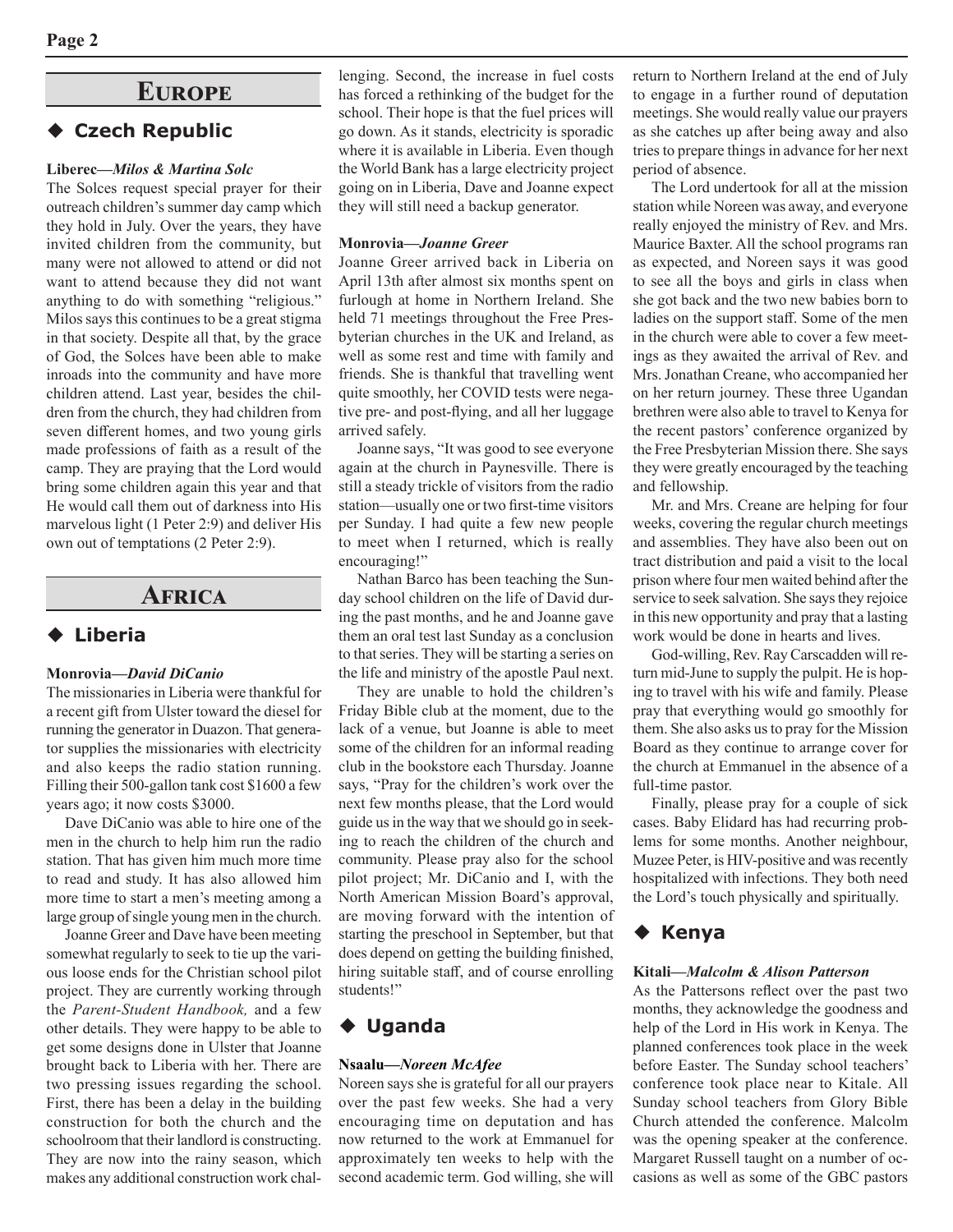# **Europe**

## **Czech Republic**

#### **Liberec***—Milos & Martina Solc*

The Solces request special prayer for their outreach children's summer day camp which they hold in July. Over the years, they have invited children from the community, but many were not allowed to attend or did not want to attend because they did not want anything to do with something "religious." Milos says this continues to be a great stigma in that society. Despite all that, by the grace of God, the Solces have been able to make inroads into the community and have more children attend. Last year, besides the children from the church, they had children from seven different homes, and two young girls made professions of faith as a result of the camp. They are praying that the Lord would bring some children again this year and that He would call them out of darkness into His marvelous light (1 Peter 2:9) and deliver His own out of temptations (2 Peter 2:9).

## **Africa**

## **Liberia**

#### **Monrovia—***David DiCanio*

The missionaries in Liberia were thankful for a recent gift from Ulster toward the diesel for running the generator in Duazon. That generator supplies the missionaries with electricity and also keeps the radio station running. Filling their 500-gallon tank cost \$1600 a few years ago; it now costs \$3000.

Dave DiCanio was able to hire one of the men in the church to help him run the radio station. That has given him much more time to read and study. It has also allowed him more time to start a men's meeting among a large group of single young men in the church.

Joanne Greer and Dave have been meeting somewhat regularly to seek to tie up the various loose ends for the Christian school pilot project. They are currently working through the *Parent-Student Handbook,* and a few other details. They were happy to be able to get some designs done in Ulster that Joanne brought back to Liberia with her. There are two pressing issues regarding the school. First, there has been a delay in the building construction for both the church and the schoolroom that their landlord is constructing. They are now into the rainy season, which makes any additional construction work chal-

lenging. Second, the increase in fuel costs has forced a rethinking of the budget for the school. Their hope is that the fuel prices will go down. As it stands, electricity is sporadic where it is available in Liberia. Even though the World Bank has a large electricity project going on in Liberia, Dave and Joanne expect they will still need a backup generator.

#### **Monrovia—***Joanne Greer*

Joanne Greer arrived back in Liberia on April 13th after almost six months spent on furlough at home in Northern Ireland. She held 71 meetings throughout the Free Presbyterian churches in the UK and Ireland, as well as some rest and time with family and friends. She is thankful that travelling went quite smoothly, her COVID tests were negative pre- and post-flying, and all her luggage arrived safely.

Joanne says, "It was good to see everyone again at the church in Paynesville. There is still a steady trickle of visitors from the radio station—usually one or two first-time visitors per Sunday. I had quite a few new people to meet when I returned, which is really encouraging!"

Nathan Barco has been teaching the Sunday school children on the life of David during the past months, and he and Joanne gave them an oral test last Sunday as a conclusion to that series. They will be starting a series on the life and ministry of the apostle Paul next.

They are unable to hold the children's Friday Bible club at the moment, due to the lack of a venue, but Joanne is able to meet some of the children for an informal reading club in the bookstore each Thursday. Joanne says, "Pray for the children's work over the next few months please, that the Lord would guide us in the way that we should go in seeking to reach the children of the church and community. Please pray also for the school pilot project; Mr. DiCanio and I, with the North American Mission Board's approval, are moving forward with the intention of starting the preschool in September, but that does depend on getting the building finished, hiring suitable staff, and of course enrolling students!"

# **Uganda**

#### **Nsaalu—***Noreen McAfee*

Noreen says she is grateful for all our prayers over the past few weeks. She had a very encouraging time on deputation and has now returned to the work at Emmanuel for approximately ten weeks to help with the second academic term. God willing, she will

return to Northern Ireland at the end of July to engage in a further round of deputation meetings. She would really value our prayers as she catches up after being away and also tries to prepare things in advance for her next period of absence.

The Lord undertook for all at the mission station while Noreen was away, and everyone really enjoyed the ministry of Rev. and Mrs. Maurice Baxter. All the school programs ran as expected, and Noreen says it was good to see all the boys and girls in class when she got back and the two new babies born to ladies on the support staff. Some of the men in the church were able to cover a few meetings as they awaited the arrival of Rev. and Mrs. Jonathan Creane, who accompanied her on her return journey. These three Ugandan brethren were also able to travel to Kenya for the recent pastors' conference organized by the Free Presbyterian Mission there. She says they were greatly encouraged by the teaching and fellowship.

Mr. and Mrs. Creane are helping for four weeks, covering the regular church meetings and assemblies. They have also been out on tract distribution and paid a visit to the local prison where four men waited behind after the service to seek salvation. She says they rejoice in this new opportunity and pray that a lasting work would be done in hearts and lives.

God-willing, Rev. Ray Carscadden will return mid-June to supply the pulpit. He is hoping to travel with his wife and family. Please pray that everything would go smoothly for them. She also asks us to pray for the Mission Board as they continue to arrange cover for the church at Emmanuel in the absence of a full-time pastor.

Finally, please pray for a couple of sick cases. Baby Elidard has had recurring problems for some months. Another neighbour, Muzee Peter, is HIV-positive and was recently hospitalized with infections. They both need the Lord's touch physically and spiritually.

## **◆ Kenya**

#### **Kitali***—Malcolm & Alison Patterson*

As the Pattersons reflect over the past two months, they acknowledge the goodness and help of the Lord in His work in Kenya. The planned conferences took place in the week before Easter. The Sunday school teachers' conference took place near to Kitale. All Sunday school teachers from Glory Bible Church attended the conference. Malcolm was the opening speaker at the conference. Margaret Russell taught on a number of occasions as well as some of the GBC pastors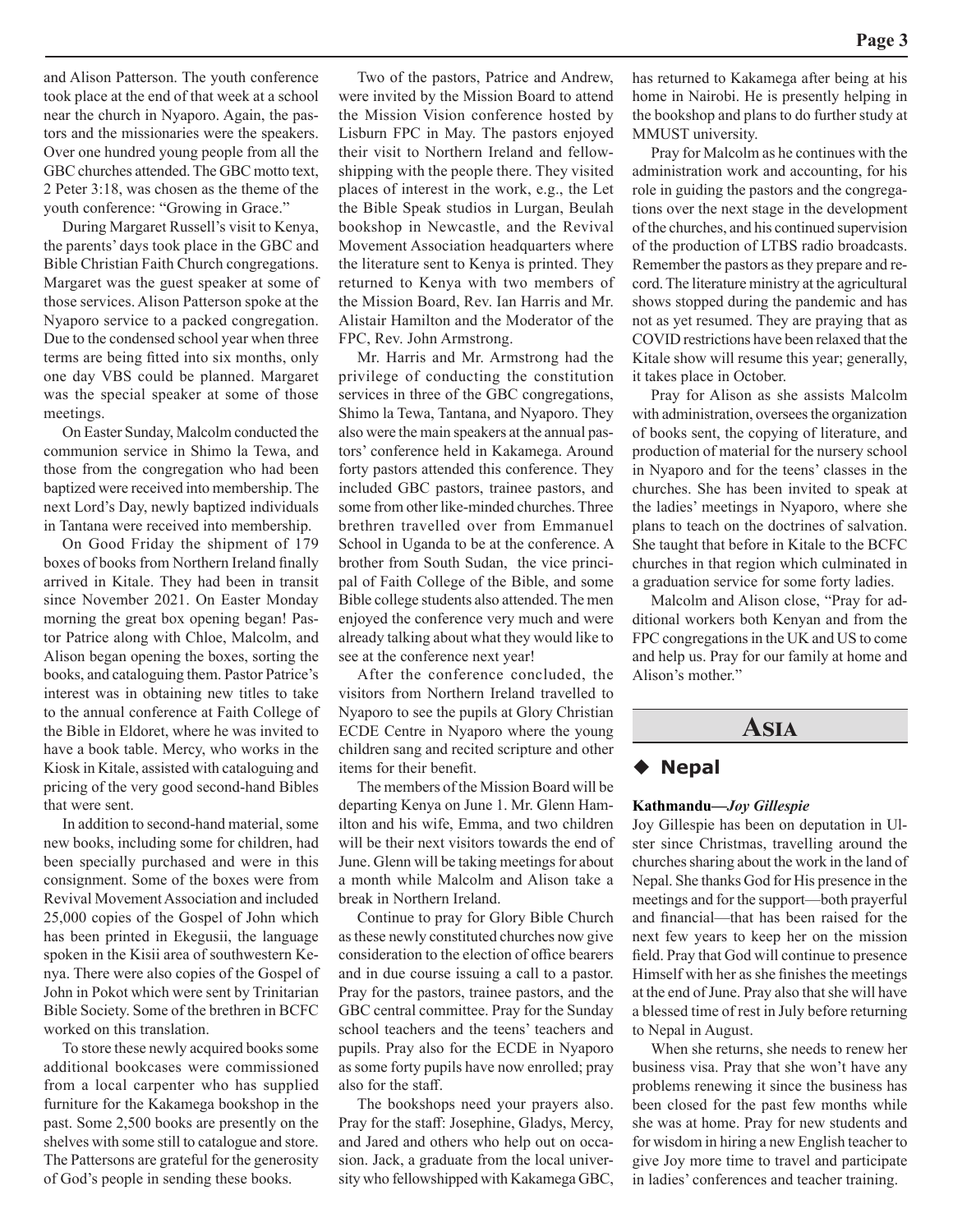and Alison Patterson. The youth conference took place at the end of that week at a school near the church in Nyaporo. Again, the pastors and the missionaries were the speakers. Over one hundred young people from all the GBC churches attended. The GBC motto text, 2 Peter 3:18, was chosen as the theme of the youth conference: "Growing in Grace."

During Margaret Russell's visit to Kenya, the parents' days took place in the GBC and Bible Christian Faith Church congregations. Margaret was the guest speaker at some of those services. Alison Patterson spoke at the Nyaporo service to a packed congregation. Due to the condensed school year when three terms are being fitted into six months, only one day VBS could be planned. Margaret was the special speaker at some of those meetings.

On Easter Sunday, Malcolm conducted the communion service in Shimo la Tewa, and those from the congregation who had been baptized were received into membership. The next Lord's Day, newly baptized individuals in Tantana were received into membership.

On Good Friday the shipment of 179 boxes of books from Northern Ireland finally arrived in Kitale. They had been in transit since November 2021. On Easter Monday morning the great box opening began! Pastor Patrice along with Chloe, Malcolm, and Alison began opening the boxes, sorting the books, and cataloguing them. Pastor Patrice's interest was in obtaining new titles to take to the annual conference at Faith College of the Bible in Eldoret, where he was invited to have a book table. Mercy, who works in the Kiosk in Kitale, assisted with cataloguing and pricing of the very good second-hand Bibles that were sent.

In addition to second-hand material, some new books, including some for children, had been specially purchased and were in this consignment. Some of the boxes were from Revival Movement Association and included 25,000 copies of the Gospel of John which has been printed in Ekegusii, the language spoken in the Kisii area of southwestern Kenya. There were also copies of the Gospel of John in Pokot which were sent by Trinitarian Bible Society. Some of the brethren in BCFC worked on this translation.

To store these newly acquired books some additional bookcases were commissioned from a local carpenter who has supplied furniture for the Kakamega bookshop in the past. Some 2,500 books are presently on the shelves with some still to catalogue and store. The Pattersons are grateful for the generosity of God's people in sending these books.

Two of the pastors, Patrice and Andrew, were invited by the Mission Board to attend the Mission Vision conference hosted by Lisburn FPC in May. The pastors enjoyed their visit to Northern Ireland and fellowshipping with the people there. They visited places of interest in the work, e.g., the Let the Bible Speak studios in Lurgan, Beulah bookshop in Newcastle, and the Revival Movement Association headquarters where the literature sent to Kenya is printed. They returned to Kenya with two members of the Mission Board, Rev. Ian Harris and Mr. Alistair Hamilton and the Moderator of the FPC, Rev. John Armstrong.

Mr. Harris and Mr. Armstrong had the privilege of conducting the constitution services in three of the GBC congregations, Shimo la Tewa, Tantana, and Nyaporo. They also were the main speakers at the annual pastors' conference held in Kakamega. Around forty pastors attended this conference. They included GBC pastors, trainee pastors, and some from other like-minded churches. Three brethren travelled over from Emmanuel School in Uganda to be at the conference. A brother from South Sudan, the vice principal of Faith College of the Bible, and some Bible college students also attended. The men enjoyed the conference very much and were already talking about what they would like to see at the conference next year!

After the conference concluded, the visitors from Northern Ireland travelled to Nyaporo to see the pupils at Glory Christian ECDE Centre in Nyaporo where the young children sang and recited scripture and other items for their benefit.

The members of the Mission Board will be departing Kenya on June 1. Mr. Glenn Hamilton and his wife, Emma, and two children will be their next visitors towards the end of June. Glenn will be taking meetings for about a month while Malcolm and Alison take a break in Northern Ireland.

Continue to pray for Glory Bible Church as these newly constituted churches now give consideration to the election of office bearers and in due course issuing a call to a pastor. Pray for the pastors, trainee pastors, and the GBC central committee. Pray for the Sunday school teachers and the teens' teachers and pupils. Pray also for the ECDE in Nyaporo as some forty pupils have now enrolled; pray also for the staff.

The bookshops need your prayers also. Pray for the staff: Josephine, Gladys, Mercy, and Jared and others who help out on occasion. Jack, a graduate from the local university who fellowshipped with Kakamega GBC,

has returned to Kakamega after being at his home in Nairobi. He is presently helping in the bookshop and plans to do further study at MMUST university.

Pray for Malcolm as he continues with the administration work and accounting, for his role in guiding the pastors and the congregations over the next stage in the development of the churches, and his continued supervision of the production of LTBS radio broadcasts. Remember the pastors as they prepare and record. The literature ministry at the agricultural shows stopped during the pandemic and has not as yet resumed. They are praying that as COVID restrictions have been relaxed that the Kitale show will resume this year; generally, it takes place in October.

Pray for Alison as she assists Malcolm with administration, oversees the organization of books sent, the copying of literature, and production of material for the nursery school in Nyaporo and for the teens' classes in the churches. She has been invited to speak at the ladies' meetings in Nyaporo, where she plans to teach on the doctrines of salvation. She taught that before in Kitale to the BCFC churches in that region which culminated in a graduation service for some forty ladies.

Malcolm and Alison close, "Pray for additional workers both Kenyan and from the FPC congregations in the UK and US to come and help us. Pray for our family at home and Alison's mother."



#### **Nepal**

#### **Kathmandu—***Joy Gillespie*

Joy Gillespie has been on deputation in Ulster since Christmas, travelling around the churches sharing about the work in the land of Nepal. She thanks God for His presence in the meetings and for the support—both prayerful and financial—that has been raised for the next few years to keep her on the mission field. Pray that God will continue to presence Himself with her as she finishes the meetings at the end of June. Pray also that she will have a blessed time of rest in July before returning to Nepal in August.

When she returns, she needs to renew her business visa. Pray that she won't have any problems renewing it since the business has been closed for the past few months while she was at home. Pray for new students and for wisdom in hiring a new English teacher to give Joy more time to travel and participate in ladies' conferences and teacher training.